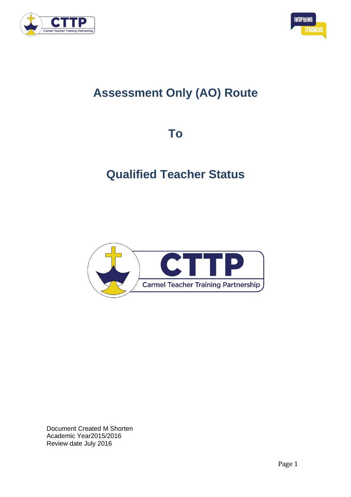



# **Assessment Only (AO) Route**

**To**

# **Qualified Teacher Status**



Document Created M Shorten Academic Year2015/2016 Review date July 2016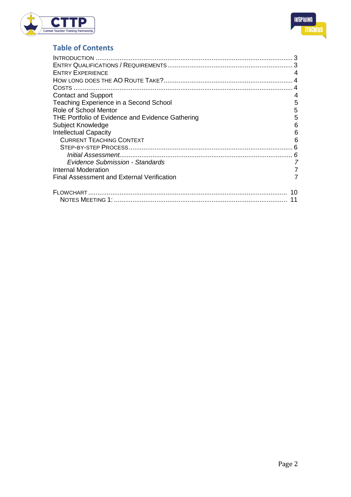



# **Table of Contents**

| <b>ENTRY EXPERIENCE</b>                          | 4  |
|--------------------------------------------------|----|
|                                                  |    |
|                                                  |    |
| <b>Contact and Support</b>                       |    |
| Teaching Experience in a Second School           | 5  |
| Role of School Mentor                            | 5  |
| THE Portfolio of Evidence and Evidence Gathering | 5  |
| Subject Knowledge                                | 6  |
| <b>Intellectual Capacity</b>                     | 6  |
| <b>CURRENT TEACHING CONTEXT</b>                  | 6  |
|                                                  |    |
|                                                  | 6  |
| <b>Evidence Submission - Standards</b>           |    |
| Internal Moderation                              |    |
| Final Assessment and External Verification       |    |
|                                                  | 10 |
|                                                  | 11 |
|                                                  |    |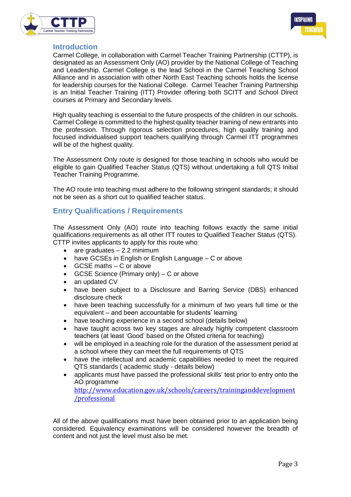



## **Introduction**

Carmel College, in collaboration with Carmel Teacher Training Partnership (CTTP), is designated as an Assessment Only (AO) provider by the National College of Teaching and Leadership. Carmel College is the lead School in the Carmel Teaching School Alliance and in association with other North East Teaching schools holds the license for leadership courses for the National College. Carmel Teacher Training Partnership is an Initial Teacher Training (ITT) Provider offering both SCITT and School Direct courses at Primary and Secondary levels.

High quality teaching is essential to the future prospects of the children in our schools. Carmel College is committed to the highest quality teacher training of new entrants into the profession. Through rigorous selection procedures, high quality training and focused individualised support teachers qualifying through Carmel ITT programmes will be of the highest quality.

The Assessment Only route is designed for those teaching in schools who would be eligible to gain Qualified Teacher Status (QTS) without undertaking a full QTS Initial Teacher Training Programme.

The AO route into teaching must adhere to the following stringent standards; it should not be seen as a short cut to qualified teacher status.

# **Entry Qualifications / Requirements**

The Assessment Only (AO) route into teaching follows exactly the same initial qualifications requirements as all other ITT routes to Qualified Teacher Status (QTS). CTTP invites applicants to apply for this route who:

- $\bullet$  are graduates  $-2.2$  minimum
- have GCSEs in English or English Language C or above
- GCSE maths C or above
- GCSE Science (Primary only) C or above
- an updated CV
- have been subject to a Disclosure and Barring Service (DBS) enhanced disclosure check
- have been teaching successfully for a minimum of two years full time or the equivalent – and been accountable for students' learning
- have teaching experience in a second school (details below)
- have taught across two key stages are already highly competent classroom teachers (at least 'Good' based on the Ofsted criteria for teaching)
- will be employed in a teaching role for the duration of the assessment period at a school where they can meet the full requirements of QTS
- have the intellectual and academic capabilities needed to meet the required QTS standards ( academic study - details below)
- applicants must have passed the professional skills' test prior to entry onto the AO programme [http://www.education.gov.uk/schools/careers/traininganddevelopment](http://www.education.gov.uk/schools/careers/traininganddevelopment/professional) [/professional](http://www.education.gov.uk/schools/careers/traininganddevelopment/professional)

All of the above qualifications must have been obtained prior to an application being considered. Equivalency examinations will be considered however the breadth of content and not just the level must also be met.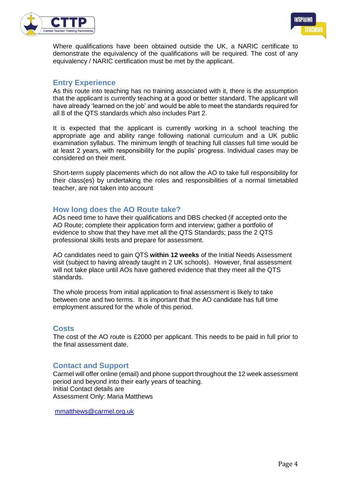



Where qualifications have been obtained outside the UK, a NARIC certificate to demonstrate the equivalency of the qualifications will be required. The cost of any equivalency / NARIC certification must be met by the applicant.

## **Entry Experience**

As this route into teaching has no training associated with it, there is the assumption that the applicant is currently teaching at a good or better standard. The applicant will have already 'learned on the job' and would be able to meet the standards required for all 8 of the QTS standards which also includes Part 2.

It is expected that the applicant is currently working in a school teaching the appropriate age and ability range following national curriculum and a UK public examination syllabus. The minimum length of teaching full classes full time would be at least 2 years, with responsibility for the pupils' progress. Individual cases may be considered on their merit.

Short-term supply placements which do not allow the AO to take full responsibility for their class(es) by undertaking the roles and responsibilities of a normal timetabled teacher, are not taken into account

## **How long does the AO Route take?**

AOs need time to have their qualifications and DBS checked (if accepted onto the AO Route; complete their application form and interview; gather a portfolio of evidence to show that they have met all the QTS Standards; pass the 2 QTS professional skills tests and prepare for assessment.

AO candidates need to gain QTS **within 12 weeks** of the Initial Needs Assessment visit (subject to having already taught in 2 UK schools). However, final assessment will not take place until AOs have gathered evidence that they meet all the QTS standards.

The whole process from initial application to final assessment is likely to take between one and two terms. It is important that the AO candidate has full time employment assured for the whole of this period.

#### **Costs**

The cost of the AO route is £2000 per applicant. This needs to be paid in full prior to the final assessment date.

#### **Contact and Support**

Carmel will offer online (email) and phone support throughout the 12 week assessment period and beyond into their early years of teaching. Initial Contact details are Assessment Only: Maria Matthews

[mmatthews@carmel.org.uk](mailto:mmatthews@carmel.org.uk)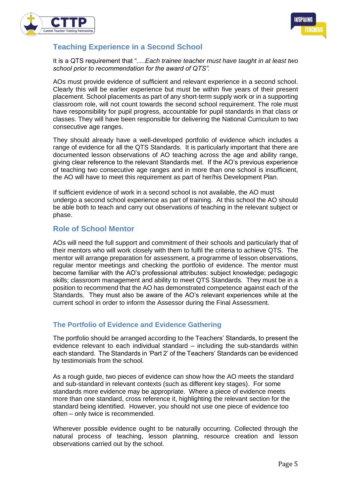



# **Teaching Experience in a Second School**

It is a QTS requirement that "….*Each trainee teacher must have taught in at least two school prior to recommendation for the award of QTS".*

AOs must provide evidence of sufficient and relevant experience in a second school. Clearly this will be earlier experience but must be within five years of their present placement. School placements as part of any short-term supply work or in a supporting classroom role, will not count towards the second school requirement. The role must have responsibility for pupil progress, accountable for pupil standards in that class or classes. They will have been responsible for delivering the National Curriculum to two consecutive age ranges.

They should already have a well-developed portfolio of evidence which includes a range of evidence for all the QTS Standards. It is particularly important that there are documented lesson observations of AO teaching across the age and ability range, giving clear reference to the relevant Standards met. If the AO's previous experience of teaching two consecutive age ranges and in more than one school is insufficient, the AO will have to meet this requirement as part of her/his Development Plan.

If sufficient evidence of work in a second school is not available, the AO must undergo a second school experience as part of training. At this school the AO should be able both to teach and carry out observations of teaching in the relevant subject or phase.

## **Role of School Mentor**

AOs will need the full support and commitment of their schools and particularly that of their mentors who will work closely with them to fulfil the criteria to achieve QTS. The mentor will arrange preparation for assessment, a programme of lesson observations, regular mentor meetings and checking the portfolio of evidence. The mentor must become familiar with the AO's professional attributes: subject knowledge; pedagogic skills; classroom management and ability to meet QTS Standards. They must be in a position to recommend that the AO has demonstrated competence against each of the Standards. They must also be aware of the AO's relevant experiences while at the current school in order to inform the Assessor during the Final Assessment.

## **The Portfolio of Evidence and Evidence Gathering**

The portfolio should be arranged according to the Teachers' Standards, to present the evidence relevant to each individual standard – including the sub-standards within each standard. The Standards in 'Part 2' of the Teachers' Standards can be evidenced by testimonials from the school.

As a rough guide, two pieces of evidence can show how the AO meets the standard and sub-standard in relevant contexts (such as different key stages). For some standards more evidence may be appropriate. Where a piece of evidence meets more than one standard, cross reference it, highlighting the relevant section for the standard being identified. However, you should not use one piece of evidence too often – only twice is recommended.

Wherever possible evidence ought to be naturally occurring. Collected through the natural process of teaching, lesson planning, resource creation and lesson observations carried out by the school.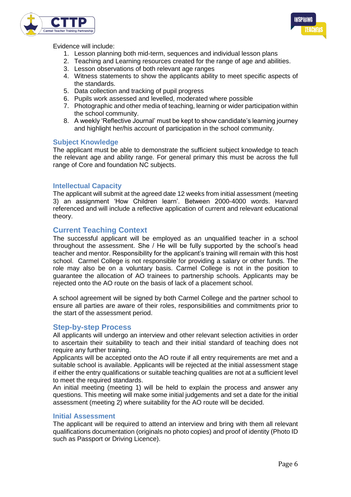



Evidence will include:

- 1. Lesson planning both mid-term, sequences and individual lesson plans
- 2. Teaching and Learning resources created for the range of age and abilities.
- 3. Lesson observations of both relevant age ranges
- 4. Witness statements to show the applicants ability to meet specific aspects of the standards.
- 5. Data collection and tracking of pupil progress
- 6. Pupils work assessed and levelled, moderated where possible
- 7. Photographic and other media of teaching, learning or wider participation within the school community.
- 8. A weekly 'Reflective Journal' must be kept to show candidate's learning journey and highlight her/his account of participation in the school community.

#### **Subject Knowledge**

The applicant must be able to demonstrate the sufficient subject knowledge to teach the relevant age and ability range. For general primary this must be across the full range of Core and foundation NC subjects.

#### **Intellectual Capacity**

The applicant will submit at the agreed date 12 weeks from initial assessment (meeting 3) an assignment 'How Children learn'. Between 2000-4000 words. Harvard referenced and will include a reflective application of current and relevant educational theory.

## **Current Teaching Context**

The successful applicant will be employed as an unqualified teacher in a school throughout the assessment. She / He will be fully supported by the school's head teacher and mentor. Responsibility for the applicant's training will remain with this host school. Carmel College is not responsible for providing a salary or other funds. The role may also be on a voluntary basis. Carmel College is not in the position to guarantee the allocation of AO trainees to partnership schools. Applicants may be rejected onto the AO route on the basis of lack of a placement school.

A school agreement will be signed by both Carmel College and the partner school to ensure all parties are aware of their roles, responsibilities and commitments prior to the start of the assessment period.

#### **Step-by-step Process**

All applicants will undergo an interview and other relevant selection activities in order to ascertain their suitability to teach and their initial standard of teaching does not require any further training.

Applicants will be accepted onto the AO route if all entry requirements are met and a suitable school is available. Applicants will be rejected at the initial assessment stage if either the entry qualifications or suitable teaching qualities are not at a sufficient level to meet the required standards.

An initial meeting (meeting 1) will be held to explain the process and answer any questions. This meeting will make some initial judgements and set a date for the initial assessment (meeting 2) where suitability for the AO route will be decided.

#### **Initial Assessment**

The applicant will be required to attend an interview and bring with them all relevant qualifications documentation (originals no photo copies) and proof of identity (Photo ID such as Passport or Driving Licence).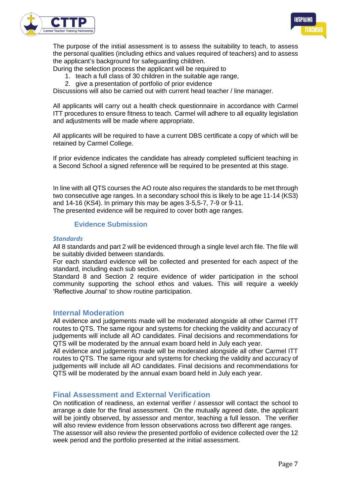



The purpose of the initial assessment is to assess the suitability to teach, to assess the personal qualities (including ethics and values required of teachers) and to assess the applicant's background for safeguarding children.

During the selection process the applicant will be required to

- 1. teach a full class of 30 children in the suitable age range,
- 2. give a presentation of portfolio of prior evidence

Discussions will also be carried out with current head teacher / line manager.

All applicants will carry out a health check questionnaire in accordance with Carmel ITT procedures to ensure fitness to teach. Carmel will adhere to all equality legislation and adjustments will be made where appropriate.

All applicants will be required to have a current DBS certificate a copy of which will be retained by Carmel College.

If prior evidence indicates the candidate has already completed sufficient teaching in a Second School a signed reference will be required to be presented at this stage.

In line with all QTS courses the AO route also requires the standards to be met through two consecutive age ranges. In a secondary school this is likely to be age 11-14 (KS3) and 14-16 (KS4). In primary this may be ages 3-5,5-7, 7-9 or 9-11.

The presented evidence will be required to cover both age ranges.

#### **Evidence Submission**

#### *Standards*

All 8 standards and part 2 will be evidenced through a single level arch file. The file will be suitably divided between standards.

For each standard evidence will be collected and presented for each aspect of the standard, including each sub section.

Standard 8 and Section 2 require evidence of wider participation in the school community supporting the school ethos and values. This will require a weekly 'Reflective Journal' to show routine participation.

#### **Internal Moderation**

All evidence and judgements made will be moderated alongside all other Carmel ITT routes to QTS. The same rigour and systems for checking the validity and accuracy of judgements will include all AO candidates. Final decisions and recommendations for QTS will be moderated by the annual exam board held in July each year.

All evidence and judgements made will be moderated alongside all other Carmel ITT routes to QTS. The same rigour and systems for checking the validity and accuracy of judgements will include all AO candidates. Final decisions and recommendations for QTS will be moderated by the annual exam board held in July each year.

#### **Final Assessment and External Verification**

On notification of readiness, an external verifier / assessor will contact the school to arrange a date for the final assessment. On the mutually agreed date, the applicant will be jointly observed, by assessor and mentor, teaching a full lesson. The verifier will also review evidence from lesson observations across two different age ranges. The assessor will also review the presented portfolio of evidence collected over the 12 week period and the portfolio presented at the initial assessment.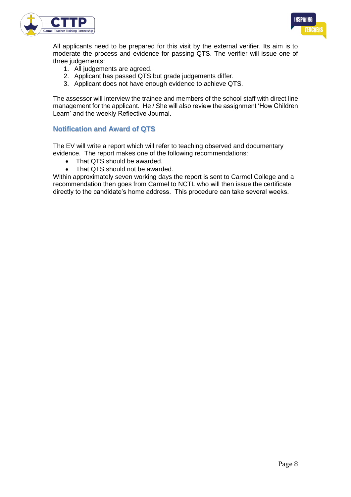



All applicants need to be prepared for this visit by the external verifier. Its aim is to moderate the process and evidence for passing QTS. The verifier will issue one of three judgements:

- 1. All judgements are agreed.
- 2. Applicant has passed QTS but grade judgements differ.
- 3. Applicant does not have enough evidence to achieve QTS.

The assessor will interview the trainee and members of the school staff with direct line management for the applicant. He / She will also review the assignment 'How Children Learn' and the weekly Reflective Journal.

#### **Notification and Award of QTS**

The EV will write a report which will refer to teaching observed and documentary evidence. The report makes one of the following recommendations:

- That QTS should be awarded.
- That QTS should not be awarded.

Within approximately seven working days the report is sent to Carmel College and a recommendation then goes from Carmel to NCTL who will then issue the certificate directly to the candidate's home address. This procedure can take several weeks.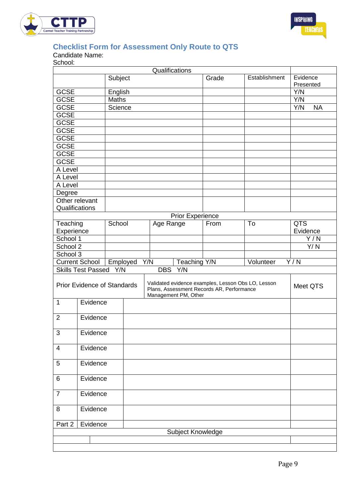



# **Checklist Form for Assessment Only Route to QTS**

Candidate Name:

School:

|                                    |                           |              |  | Qualifications                                                                                                          |                   |       |               |                  |  |
|------------------------------------|---------------------------|--------------|--|-------------------------------------------------------------------------------------------------------------------------|-------------------|-------|---------------|------------------|--|
|                                    |                           | Subject      |  |                                                                                                                         |                   | Grade | Establishment | Evidence         |  |
|                                    |                           |              |  |                                                                                                                         |                   |       |               | Presented        |  |
| <b>GCSE</b>                        |                           | English      |  |                                                                                                                         |                   |       |               | Y/N              |  |
| <b>GCSE</b>                        |                           | <b>Maths</b> |  |                                                                                                                         |                   |       |               | Y/N              |  |
| <b>GCSE</b>                        |                           | Science      |  |                                                                                                                         |                   |       |               | Y/N<br><b>NA</b> |  |
| <b>GCSE</b>                        |                           |              |  |                                                                                                                         |                   |       |               |                  |  |
| <b>GCSE</b>                        |                           |              |  |                                                                                                                         |                   |       |               |                  |  |
| <b>GCSE</b>                        |                           |              |  |                                                                                                                         |                   |       |               |                  |  |
| <b>GCSE</b>                        |                           |              |  |                                                                                                                         |                   |       |               |                  |  |
| <b>GCSE</b>                        |                           |              |  |                                                                                                                         |                   |       |               |                  |  |
| <b>GCSE</b>                        |                           |              |  |                                                                                                                         |                   |       |               |                  |  |
| <b>GCSE</b>                        |                           |              |  |                                                                                                                         |                   |       |               |                  |  |
| A Level                            |                           |              |  |                                                                                                                         |                   |       |               |                  |  |
| A Level                            |                           |              |  |                                                                                                                         |                   |       |               |                  |  |
| A Level                            |                           |              |  |                                                                                                                         |                   |       |               |                  |  |
| Degree                             |                           |              |  |                                                                                                                         |                   |       |               |                  |  |
|                                    | Other relevant            |              |  |                                                                                                                         |                   |       |               |                  |  |
| Qualifications                     |                           |              |  |                                                                                                                         |                   |       |               |                  |  |
| <b>Prior Experience</b>            |                           |              |  |                                                                                                                         |                   |       |               |                  |  |
| Teaching                           |                           | School       |  | Age Range                                                                                                               |                   | From  | To            | <b>QTS</b>       |  |
| Experience                         |                           |              |  |                                                                                                                         |                   |       |               | Evidence         |  |
| School 1                           |                           |              |  |                                                                                                                         |                   |       |               | Y/N              |  |
| School 2                           |                           |              |  |                                                                                                                         |                   |       |               | Y/N              |  |
| School 3                           |                           |              |  |                                                                                                                         |                   |       |               |                  |  |
| <b>Current School</b><br>Employed  |                           |              |  | Y/N                                                                                                                     | Teaching Y/N      |       | Volunteer     | Y/N              |  |
|                                    | <b>Skills Test Passed</b> | Y/N          |  | <b>DBS</b>                                                                                                              | Y/N               |       |               |                  |  |
|                                    |                           |              |  |                                                                                                                         |                   |       |               |                  |  |
| <b>Prior Evidence of Standards</b> |                           |              |  | Validated evidence examples, Lesson Obs LO, Lesson<br>Plans, Assessment Records AR, Performance<br>Management PM, Other |                   |       |               | Meet QTS         |  |
| $\mathbf{1}$                       |                           | Evidence     |  |                                                                                                                         |                   |       |               |                  |  |
| $\overline{2}$                     |                           | Evidence     |  |                                                                                                                         |                   |       |               |                  |  |
| 3                                  | Evidence                  |              |  |                                                                                                                         |                   |       |               |                  |  |
|                                    |                           |              |  |                                                                                                                         |                   |       |               |                  |  |
| $\overline{\mathcal{A}}$           | Evidence                  |              |  |                                                                                                                         |                   |       |               |                  |  |
| 5                                  | Evidence                  |              |  |                                                                                                                         |                   |       |               |                  |  |
| 6                                  |                           |              |  |                                                                                                                         |                   |       |               |                  |  |
|                                    | Evidence                  |              |  |                                                                                                                         |                   |       |               |                  |  |
| $\overline{7}$                     | Evidence                  |              |  |                                                                                                                         |                   |       |               |                  |  |
| 8                                  | Evidence                  |              |  |                                                                                                                         |                   |       |               |                  |  |
| Part 2                             | Evidence                  |              |  |                                                                                                                         |                   |       |               |                  |  |
|                                    |                           |              |  |                                                                                                                         | Subject Knowledge |       |               |                  |  |
|                                    |                           |              |  |                                                                                                                         |                   |       |               |                  |  |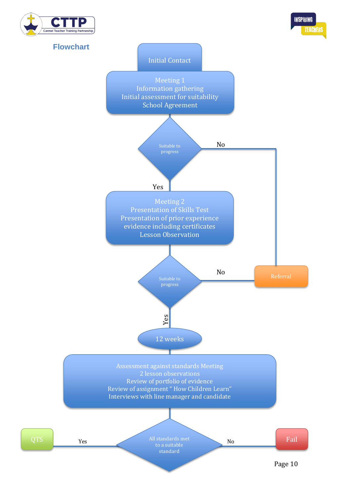